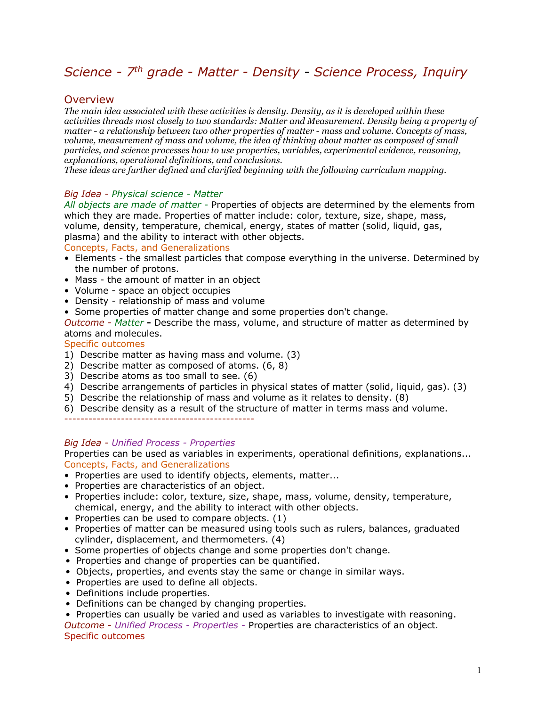# *Science - 7th grade - Matter - Density - Science Process, Inquiry*

### **Overview**

*The main idea associated with these activities is density. Density, as it is developed within these activities threads most closely to two standards: Matter and Measurement. Density being a property of matter - a relationship between two other properties of matter - mass and volume. Concepts of mass, volume, measurement of mass and volume, the idea of thinking about matter as composed of small particles, and science processes how to use properties, variables, experimental evidence, reasoning, explanations, operational definitions, and conclusions.*

*These ideas are further defined and clarified beginning with the following curriculum mapping.*

### *Big Idea - Physical science - Matter*

*All objects are made of matter -* Properties of objects are determined by the elements from which they are made. Properties of matter include: color, texture, size, shape, mass, volume, density, temperature, chemical, energy, states of matter (solid, liquid, gas, plasma) and the ability to interact with other objects.

### Concepts, Facts, and Generalizations

- Elements the smallest particles that compose everything in the universe. Determined by the number of protons.
- Mass the amount of matter in an object
- Volume space an object occupies
- Density relationship of mass and volume
- Some properties of matter change and some properties don't change.

*Outcome - Matter* **-** Describe the mass, volume, and structure of matter as determined by atoms and molecules.

### Specific outcomes

- 1) Describe matter as having mass and volume. (3)
- 2) Describe matter as composed of atoms. (6, 8)
- 3) Describe atoms as too small to see. (6)
- 4) Describe arrangements of particles in physical states of matter (solid, liquid, gas). (3)
- 5) Describe the relationship of mass and volume as it relates to density. (8)
- 6) Describe density as a result of the structure of matter in terms mass and volume.

-----------------------------------------------

#### *Big Idea - Unified Process - Properties*

Properties can be used as variables in experiments, operational definitions, explanations... Concepts, Facts, and Generalizations

- Properties are used to identify objects, elements, matter...
- Properties are characteristics of an object.
- Properties include: color, texture, size, shape, mass, volume, density, temperature, chemical, energy, and the ability to interact with other objects.
- Properties can be used to compare objects. (1)
- Properties of matter can be measured using tools such as rulers, balances, graduated cylinder, displacement, and thermometers. (4)
- Some properties of objects change and some properties don't change.
- Properties and change of properties can be quantified.
- Objects, properties, and events stay the same or change in similar ways.
- Properties are used to define all objects.
- Definitions include properties.
- Definitions can be changed by changing properties.
- Properties can usually be varied and used as variables to investigate with reasoning.

*Outcome - Unified Process - Properties -* Properties are characteristics of an object. Specific outcomes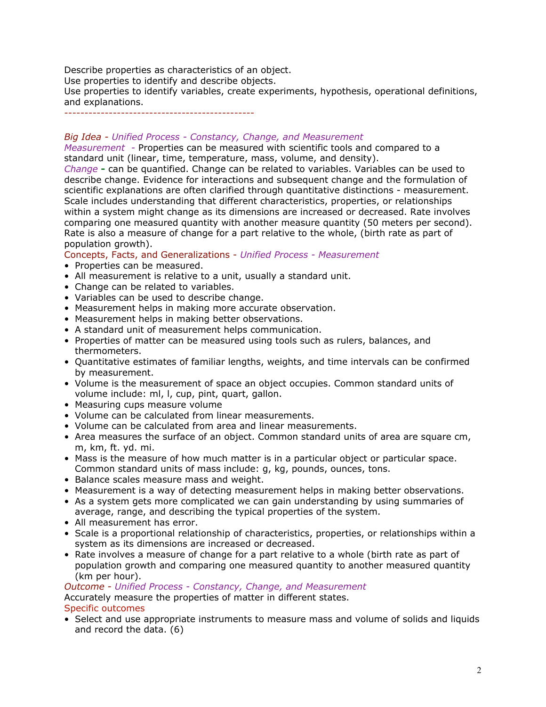Describe properties as characteristics of an object.

Use properties to identify and describe objects.

Use properties to identify variables, create experiments, hypothesis, operational definitions, and explanations.

-----------------------------------------------

### *Big Idea - Unified Process - Constancy, Change, and Measurement*

*Measurement -* Properties can be measured with scientific tools and compared to a standard unit (linear, time, temperature, mass, volume, and density).

*Change* **-** can be quantified. Change can be related to variables. Variables can be used to describe change. Evidence for interactions and subsequent change and the formulation of scientific explanations are often clarified through quantitative distinctions - measurement. Scale includes understanding that different characteristics, properties, or relationships within a system might change as its dimensions are increased or decreased. Rate involves comparing one measured quantity with another measure quantity (50 meters per second). Rate is also a measure of change for a part relative to the whole, (birth rate as part of population growth).

Concepts, Facts, and Generalizations - *Unified Process - Measurement*

- Properties can be measured.
- All measurement is relative to a unit, usually a standard unit.
- Change can be related to variables.
- Variables can be used to describe change.
- Measurement helps in making more accurate observation.
- Measurement helps in making better observations.
- A standard unit of measurement helps communication.
- Properties of matter can be measured using tools such as rulers, balances, and thermometers.
- Quantitative estimates of familiar lengths, weights, and time intervals can be confirmed by measurement.
- Volume is the measurement of space an object occupies. Common standard units of volume include: ml, l, cup, pint, quart, gallon.
- Measuring cups measure volume
- Volume can be calculated from linear measurements.
- Volume can be calculated from area and linear measurements.
- Area measures the surface of an object. Common standard units of area are square cm, m, km, ft. yd. mi.
- Mass is the measure of how much matter is in a particular object or particular space. Common standard units of mass include: g, kg, pounds, ounces, tons.
- Balance scales measure mass and weight.
- Measurement is a way of detecting measurement helps in making better observations.
- As a system gets more complicated we can gain understanding by using summaries of average, range, and describing the typical properties of the system.
- All measurement has error.
- Scale is a proportional relationship of characteristics, properties, or relationships within a system as its dimensions are increased or decreased.
- Rate involves a measure of change for a part relative to a whole (birth rate as part of population growth and comparing one measured quantity to another measured quantity (km per hour).

*Outcome - Unified Process - Constancy, Change, and Measurement*

Accurately measure the properties of matter in different states.

### Specific outcomes

• Select and use appropriate instruments to measure mass and volume of solids and liquids and record the data. (6)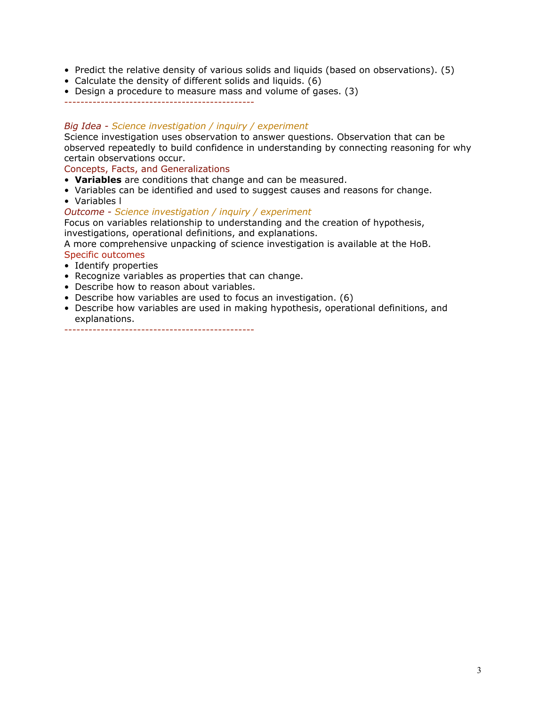- Predict the relative density of various solids and liquids (based on observations). (5)
- Calculate the density of different solids and liquids. (6)
- Design a procedure to measure mass and volume of gases. (3)

-----------------------------------------------

### *Big Idea - Science investigation / inquiry / experiment*

Science investigation uses observation to answer questions. Observation that can be observed repeatedly to build confidence in understanding by connecting reasoning for why certain observations occur.

### Concepts, Facts, and Generalizations

- **Variables** are conditions that change and can be measured.
- Variables can be identified and used to suggest causes and reasons for change.
- Variables l

*Outcome - Science investigation / inquiry / experiment*

Focus on variables relationship to understanding and the creation of hypothesis, investigations, operational definitions, and explanations.

A more comprehensive unpacking of science investigation is available at the HoB.

### Specific outcomes

- Identify properties
- Recognize variables as properties that can change.
- Describe how to reason about variables.
- Describe how variables are used to focus an investigation. (6)
- Describe how variables are used in making hypothesis, operational definitions, and explanations.

-----------------------------------------------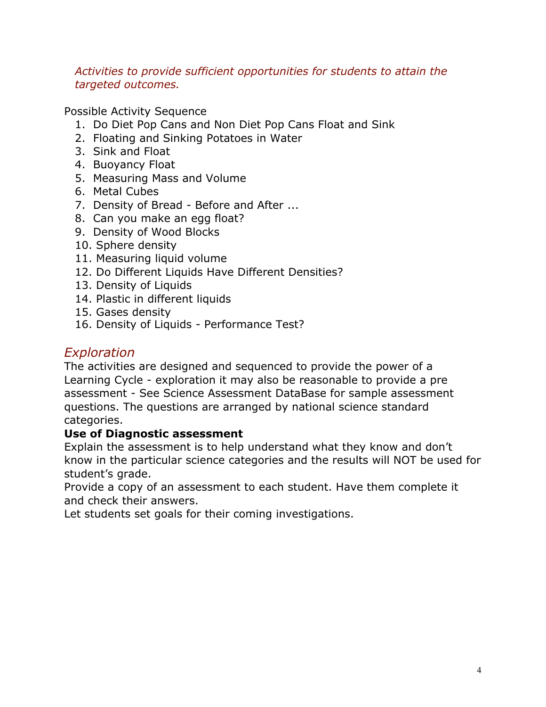## *Activities to provide sufficient opportunities for students to attain the targeted outcomes.*

Possible Activity Sequence

- 1. Do Diet Pop Cans and Non Diet Pop Cans Float and Sink
- 2. Floating and Sinking Potatoes in Water
- 3. Sink and Float
- 4. Buoyancy Float
- 5. Measuring Mass and Volume
- 6. Metal Cubes
- 7. Density of Bread Before and After ...
- 8. Can you make an egg float?
- 9. Density of Wood Blocks
- 10. Sphere density
- 11. Measuring liquid volume
- 12. Do Different Liquids Have Different Densities?
- 13. Density of Liquids
- 14. Plastic in different liquids
- 15. Gases density
- 16. Density of Liquids Performance Test?

# *Exploration*

The activities are designed and sequenced to provide the power of a Learning Cycle - exploration it may also be reasonable to provide a pre assessment - See Science Assessment DataBase for sample assessment questions. The questions are arranged by national science standard categories.

## **Use of Diagnostic assessment**

Explain the assessment is to help understand what they know and don't know in the particular science categories and the results will NOT be used for student's grade.

Provide a copy of an assessment to each student. Have them complete it and check their answers.

Let students set goals for their coming investigations.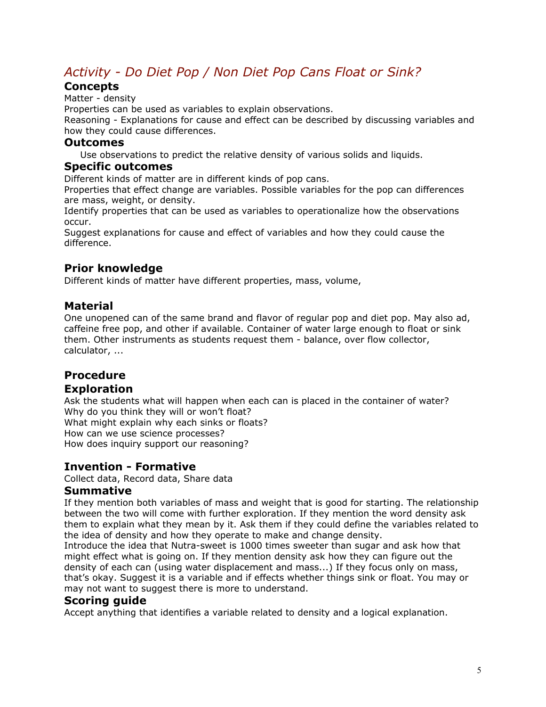# *Activity - Do Diet Pop / Non Diet Pop Cans Float or Sink?*

### **Concepts**

Matter - density

Properties can be used as variables to explain observations.

Reasoning - Explanations for cause and effect can be described by discussing variables and how they could cause differences.

### **Outcomes**

Use observations to predict the relative density of various solids and liquids.

### **Specific outcomes**

Different kinds of matter are in different kinds of pop cans.

Properties that effect change are variables. Possible variables for the pop can differences are mass, weight, or density.

Identify properties that can be used as variables to operationalize how the observations occur.

Suggest explanations for cause and effect of variables and how they could cause the difference.

## **Prior knowledge**

Different kinds of matter have different properties, mass, volume,

## **Material**

One unopened can of the same brand and flavor of regular pop and diet pop. May also ad, caffeine free pop, and other if available. Container of water large enough to float or sink them. Other instruments as students request them - balance, over flow collector, calculator, ...

# **Procedure**

### **Exploration**

Ask the students what will happen when each can is placed in the container of water? Why do you think they will or won't float? What might explain why each sinks or floats? How can we use science processes? How does inquiry support our reasoning?

## **Invention - Formative**

Collect data, Record data, Share data

### **Summative**

If they mention both variables of mass and weight that is good for starting. The relationship between the two will come with further exploration. If they mention the word density ask them to explain what they mean by it. Ask them if they could define the variables related to the idea of density and how they operate to make and change density.

Introduce the idea that Nutra-sweet is 1000 times sweeter than sugar and ask how that might effect what is going on. If they mention density ask how they can figure out the density of each can (using water displacement and mass...) If they focus only on mass, that's okay. Suggest it is a variable and if effects whether things sink or float. You may or may not want to suggest there is more to understand.

### **Scoring guide**

Accept anything that identifies a variable related to density and a logical explanation.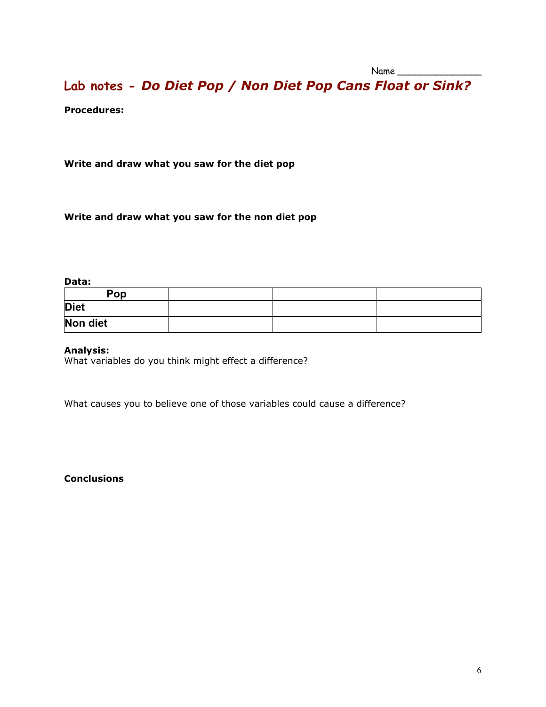**Lab notes -** *Do Diet Pop / Non Diet Pop Cans Float or Sink?*

**Procedures:** 

**Write and draw what you saw for the diet pop**

**Write and draw what you saw for the non diet pop**

### **Data:**

| Pop         |  |  |
|-------------|--|--|
| <b>Diet</b> |  |  |
| Non diet    |  |  |

### **Analysis:**

What variables do you think might effect a difference?

What causes you to believe one of those variables could cause a difference?

### **Conclusions**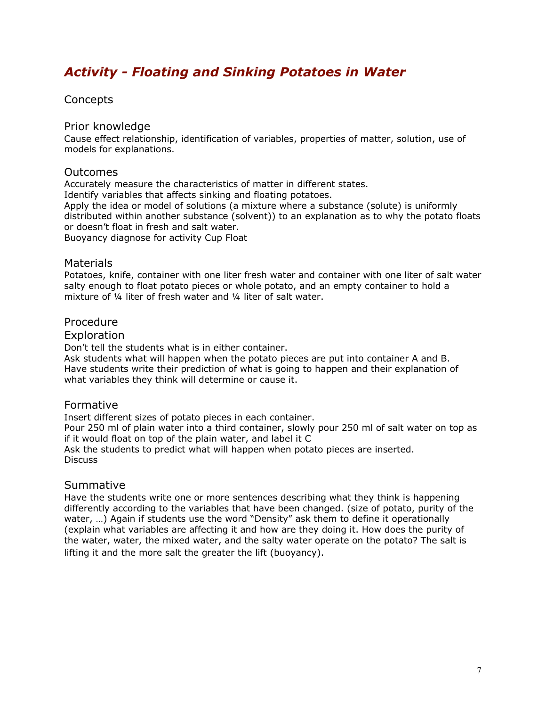# *Activity - Floating and Sinking Potatoes in Water*

### **Concepts**

### Prior knowledge

Cause effect relationship, identification of variables, properties of matter, solution, use of models for explanations.

### Outcomes

Accurately measure the characteristics of matter in different states. Identify variables that affects sinking and floating potatoes. Apply the idea or model of solutions (a mixture where a substance (solute) is uniformly distributed within another substance (solvent)) to an explanation as to why the potato floats or doesn't float in fresh and salt water. Buoyancy diagnose for activity Cup Float

Materials

Potatoes, knife, container with one liter fresh water and container with one liter of salt water salty enough to float potato pieces or whole potato, and an empty container to hold a mixture of ¼ liter of fresh water and ¼ liter of salt water.

### Procedure

### **Exploration**

Don't tell the students what is in either container.

Ask students what will happen when the potato pieces are put into container A and B. Have students write their prediction of what is going to happen and their explanation of what variables they think will determine or cause it.

### Formative

Insert different sizes of potato pieces in each container.

Pour 250 ml of plain water into a third container, slowly pour 250 ml of salt water on top as if it would float on top of the plain water, and label it C

Ask the students to predict what will happen when potato pieces are inserted. Discuss

### Summative

Have the students write one or more sentences describing what they think is happening differently according to the variables that have been changed. (size of potato, purity of the water, ...) Again if students use the word "Density" ask them to define it operationally (explain what variables are affecting it and how are they doing it. How does the purity of the water, water, the mixed water, and the salty water operate on the potato? The salt is lifting it and the more salt the greater the lift (buoyancy).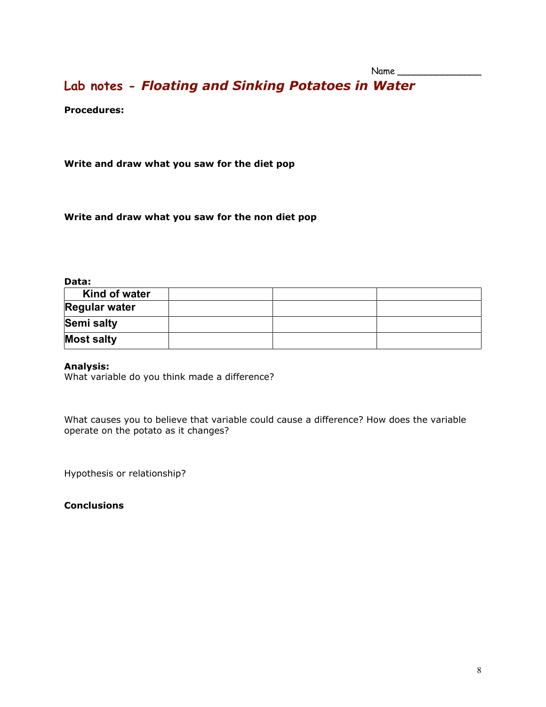# **Lab notes -** *Floating and Sinking Potatoes in Water*

**Procedures:** 

**Write and draw what you saw for the diet pop**

**Write and draw what you saw for the non diet pop**

#### **Data:**

| Kind of water        |  |  |
|----------------------|--|--|
| <b>Regular water</b> |  |  |
| Semi salty           |  |  |
| <b>Most salty</b>    |  |  |

#### **Analysis:**

What variable do you think made a difference?

What causes you to believe that variable could cause a difference? How does the variable operate on the potato as it changes?

Hypothesis or relationship?

**Conclusions**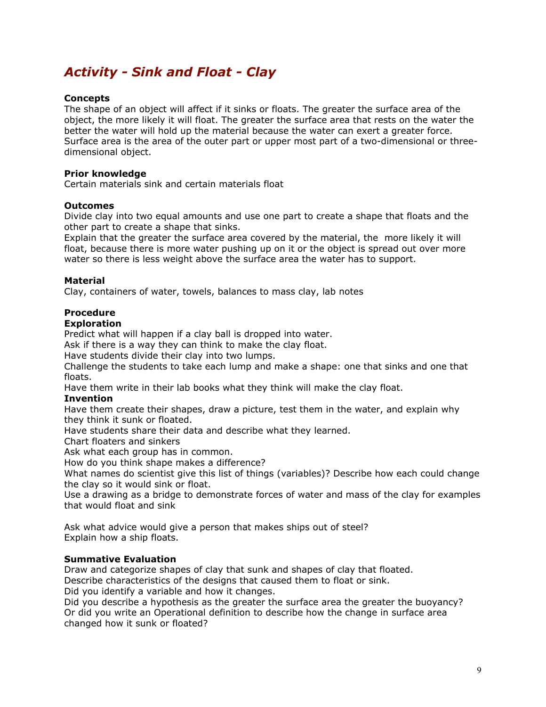# *Activity - Sink and Float - Clay*

### **Concepts**

The shape of an object will affect if it sinks or floats. The greater the surface area of the object, the more likely it will float. The greater the surface area that rests on the water the better the water will hold up the material because the water can exert a greater force. Surface area is the area of the outer part or upper most part of a two-dimensional or threedimensional object.

### **Prior knowledge**

Certain materials sink and certain materials float

### **Outcomes**

Divide clay into two equal amounts and use one part to create a shape that floats and the other part to create a shape that sinks.

Explain that the greater the surface area covered by the material, the more likely it will float, because there is more water pushing up on it or the object is spread out over more water so there is less weight above the surface area the water has to support.

### **Material**

Clay, containers of water, towels, balances to mass clay, lab notes

### **Procedure**

### **Exploration**

Predict what will happen if a clay ball is dropped into water.

Ask if there is a way they can think to make the clay float.

Have students divide their clay into two lumps.

Challenge the students to take each lump and make a shape: one that sinks and one that floats.

Have them write in their lab books what they think will make the clay float.

#### **Invention**

Have them create their shapes, draw a picture, test them in the water, and explain why they think it sunk or floated.

Have students share their data and describe what they learned.

Chart floaters and sinkers

Ask what each group has in common.

How do you think shape makes a difference?

What names do scientist give this list of things (variables)? Describe how each could change the clay so it would sink or float.

Use a drawing as a bridge to demonstrate forces of water and mass of the clay for examples that would float and sink

Ask what advice would give a person that makes ships out of steel? Explain how a ship floats.

### **Summative Evaluation**

Draw and categorize shapes of clay that sunk and shapes of clay that floated.

Describe characteristics of the designs that caused them to float or sink.

Did you identify a variable and how it changes.

Did you describe a hypothesis as the greater the surface area the greater the buoyancy? Or did you write an Operational definition to describe how the change in surface area changed how it sunk or floated?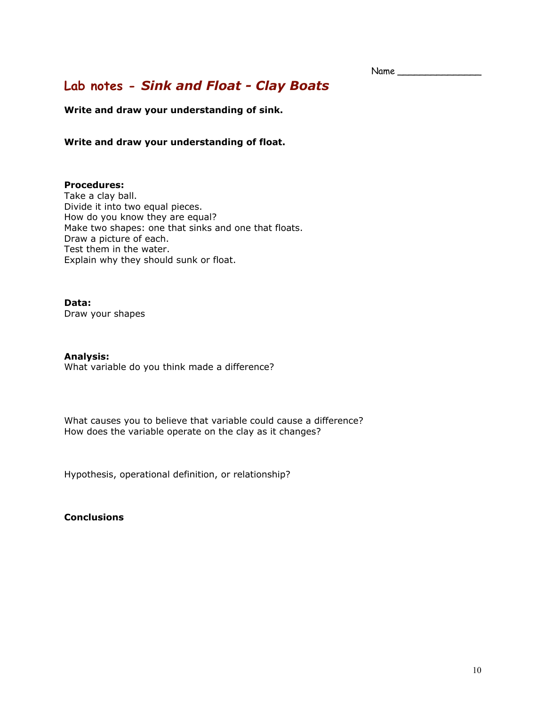Name

# **Lab notes -** *Sink and Float - Clay Boats*

**Write and draw your understanding of sink.**

**Write and draw your understanding of float.**

### **Procedures:**

Take a clay ball. Divide it into two equal pieces. How do you know they are equal? Make two shapes: one that sinks and one that floats. Draw a picture of each. Test them in the water. Explain why they should sunk or float.

### **Data:**

Draw your shapes

#### **Analysis:**

What variable do you think made a difference?

What causes you to believe that variable could cause a difference? How does the variable operate on the clay as it changes?

Hypothesis, operational definition, or relationship?

### **Conclusions**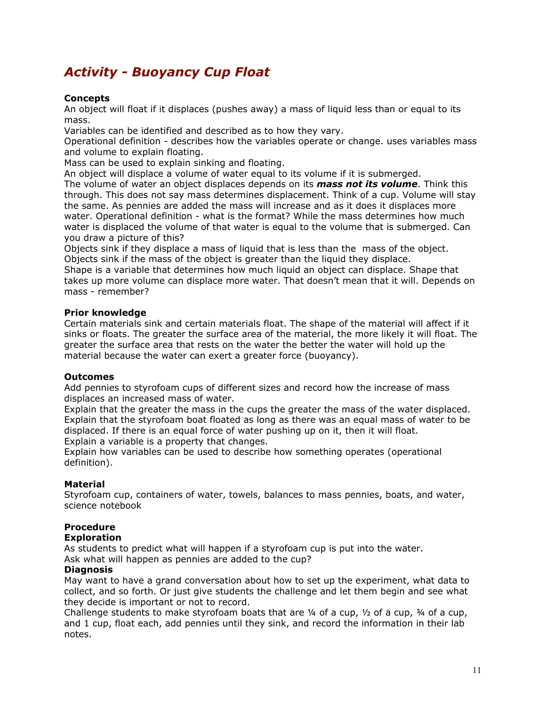# *Activity - Buoyancy Cup Float*

### **Concepts**

An object will float if it displaces (pushes away) a mass of liquid less than or equal to its mass.

Variables can be identified and described as to how they vary.

Operational definition - describes how the variables operate or change. uses variables mass and volume to explain floating.

Mass can be used to explain sinking and floating.

An object will displace a volume of water equal to its volume if it is submerged.

The volume of water an object displaces depends on its *mass not its volume*. Think this through. This does not say mass determines displacement. Think of a cup. Volume will stay the same. As pennies are added the mass will increase and as it does it displaces more water. Operational definition - what is the format? While the mass determines how much water is displaced the volume of that water is equal to the volume that is submerged. Can you draw a picture of this?

Objects sink if they displace a mass of liquid that is less than the mass of the object. Objects sink if the mass of the object is greater than the liquid they displace.

Shape is a variable that determines how much liquid an object can displace. Shape that takes up more volume can displace more water. That doesn't mean that it will. Depends on mass - remember?

### **Prior knowledge**

Certain materials sink and certain materials float. The shape of the material will affect if it sinks or floats. The greater the surface area of the material, the more likely it will float. The greater the surface area that rests on the water the better the water will hold up the material because the water can exert a greater force (buoyancy).

### **Outcomes**

Add pennies to styrofoam cups of different sizes and record how the increase of mass displaces an increased mass of water.

Explain that the greater the mass in the cups the greater the mass of the water displaced. Explain that the styrofoam boat floated as long as there was an equal mass of water to be displaced. If there is an equal force of water pushing up on it, then it will float. Explain a variable is a property that changes.

Explain how variables can be used to describe how something operates (operational definition).

### **Material**

Styrofoam cup, containers of water, towels, balances to mass pennies, boats, and water, science notebook

### **Procedure**

### **Exploration**

As students to predict what will happen if a styrofoam cup is put into the water.

Ask what will happen as pennies are added to the cup?

### **Diagnosis**

May want to have a grand conversation about how to set up the experiment, what data to collect, and so forth. Or just give students the challenge and let them begin and see what they decide is important or not to record.

Challenge students to make styrofoam boats that are  $\frac{1}{4}$  of a cup,  $\frac{1}{2}$  of a cup,  $\frac{3}{4}$  of a cup, and 1 cup, float each, add pennies until they sink, and record the information in their lab notes.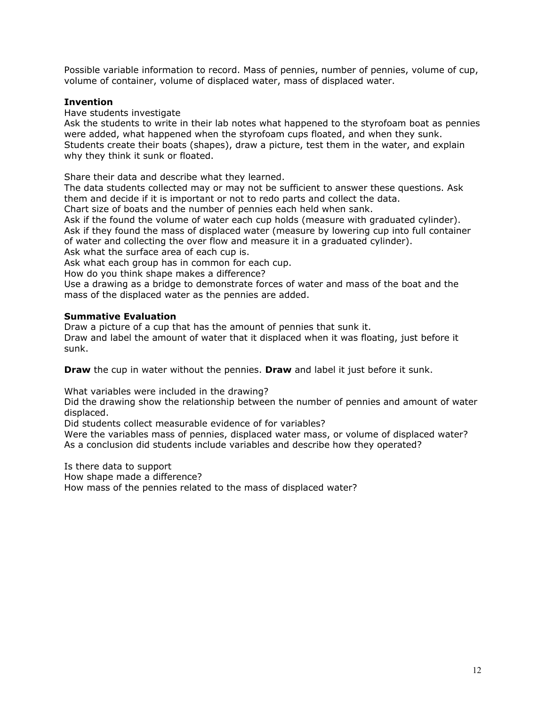Possible variable information to record. Mass of pennies, number of pennies, volume of cup, volume of container, volume of displaced water, mass of displaced water.

### **Invention**

Have students investigate

Ask the students to write in their lab notes what happened to the styrofoam boat as pennies were added, what happened when the styrofoam cups floated, and when they sunk. Students create their boats (shapes), draw a picture, test them in the water, and explain why they think it sunk or floated.

Share their data and describe what they learned.

The data students collected may or may not be sufficient to answer these questions. Ask them and decide if it is important or not to redo parts and collect the data.

Chart size of boats and the number of pennies each held when sank.

Ask if the found the volume of water each cup holds (measure with graduated cylinder). Ask if they found the mass of displaced water (measure by lowering cup into full container of water and collecting the over flow and measure it in a graduated cylinder).

Ask what the surface area of each cup is.

Ask what each group has in common for each cup.

How do you think shape makes a difference?

Use a drawing as a bridge to demonstrate forces of water and mass of the boat and the mass of the displaced water as the pennies are added.

### **Summative Evaluation**

Draw a picture of a cup that has the amount of pennies that sunk it. Draw and label the amount of water that it displaced when it was floating, just before it sunk.

**Draw** the cup in water without the pennies. **Draw** and label it just before it sunk.

What variables were included in the drawing?

Did the drawing show the relationship between the number of pennies and amount of water displaced.

Did students collect measurable evidence of for variables?

Were the variables mass of pennies, displaced water mass, or volume of displaced water? As a conclusion did students include variables and describe how they operated?

Is there data to support

How shape made a difference?

How mass of the pennies related to the mass of displaced water?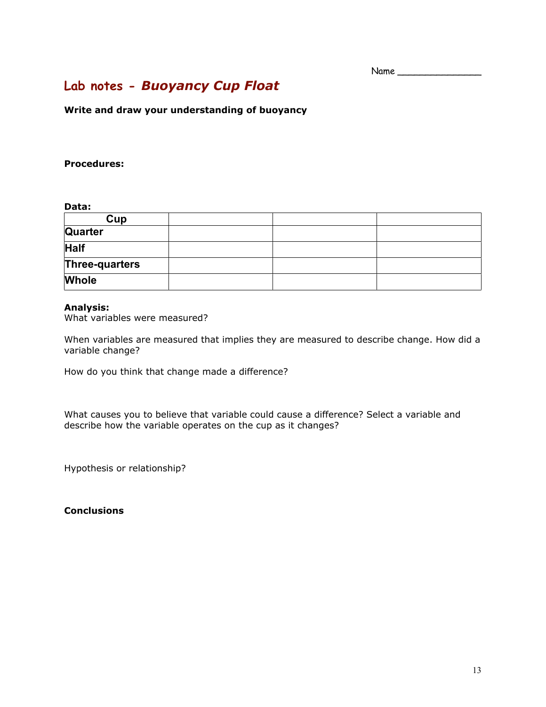# **Lab notes -** *Buoyancy Cup Float*

**Write and draw your understanding of buoyancy**

### **Procedures:**

### **Data:**

| Cup            |  |  |
|----------------|--|--|
| <b>Quarter</b> |  |  |
| <b>Half</b>    |  |  |
| Three-quarters |  |  |
| <b>Whole</b>   |  |  |

#### **Analysis:**

What variables were measured?

When variables are measured that implies they are measured to describe change. How did a variable change?

How do you think that change made a difference?

What causes you to believe that variable could cause a difference? Select a variable and describe how the variable operates on the cup as it changes?

Hypothesis or relationship?

**Conclusions**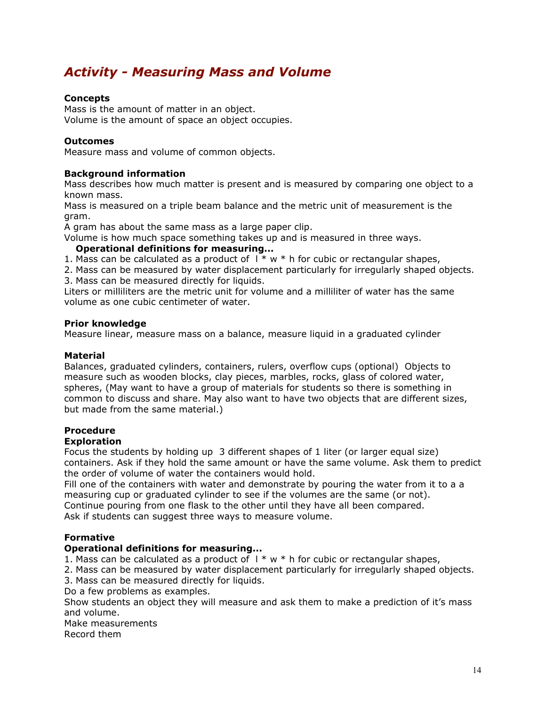# *Activity - Measuring Mass and Volume*

### **Concepts**

Mass is the amount of matter in an object. Volume is the amount of space an object occupies.

### **Outcomes**

Measure mass and volume of common objects.

### **Background information**

Mass describes how much matter is present and is measured by comparing one object to a known mass.

Mass is measured on a triple beam balance and the metric unit of measurement is the gram.

A gram has about the same mass as a large paper clip.

Volume is how much space something takes up and is measured in three ways.

### **Operational definitions for measuring...**

1. Mass can be calculated as a product of  $1 * w * h$  for cubic or rectangular shapes,

2. Mass can be measured by water displacement particularly for irregularly shaped objects. 3. Mass can be measured directly for liquids.

Liters or milliliters are the metric unit for volume and a milliliter of water has the same volume as one cubic centimeter of water.

### **Prior knowledge**

Measure linear, measure mass on a balance, measure liquid in a graduated cylinder

### **Material**

Balances, graduated cylinders, containers, rulers, overflow cups (optional) Objects to measure such as wooden blocks, clay pieces, marbles, rocks, glass of colored water, spheres, (May want to have a group of materials for students so there is something in common to discuss and share. May also want to have two objects that are different sizes, but made from the same material.)

### **Procedure**

### **Exploration**

Focus the students by holding up 3 different shapes of 1 liter (or larger equal size) containers. Ask if they hold the same amount or have the same volume. Ask them to predict the order of volume of water the containers would hold.

Fill one of the containers with water and demonstrate by pouring the water from it to a a measuring cup or graduated cylinder to see if the volumes are the same (or not). Continue pouring from one flask to the other until they have all been compared. Ask if students can suggest three ways to measure volume.

### **Formative**

### **Operational definitions for measuring...**

1. Mass can be calculated as a product of  $1 * w * h$  for cubic or rectangular shapes,

2. Mass can be measured by water displacement particularly for irregularly shaped objects.

- 3. Mass can be measured directly for liquids.
- Do a few problems as examples.

Show students an object they will measure and ask them to make a prediction of it's mass and volume.

Make measurements Record them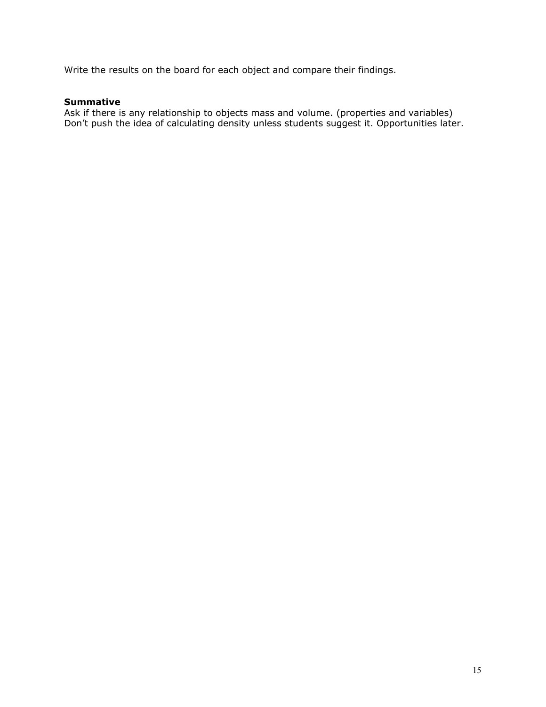Write the results on the board for each object and compare their findings.

### **Summative**

Ask if there is any relationship to objects mass and volume. (properties and variables) Don't push the idea of calculating density unless students suggest it. Opportunities later.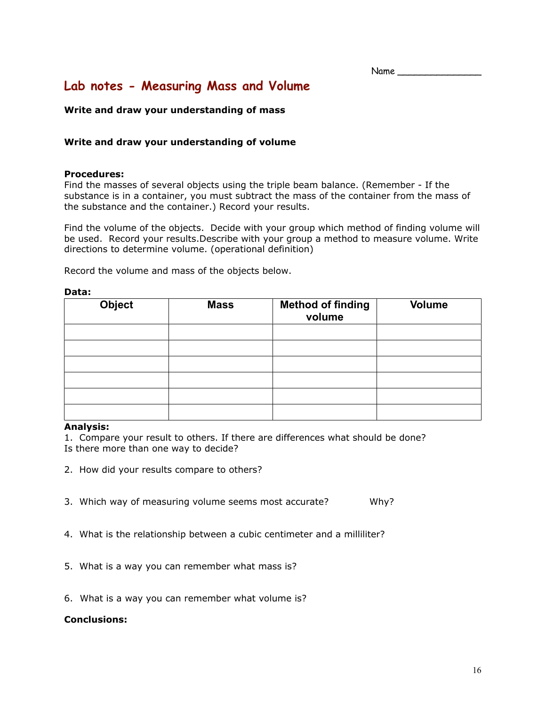Name

# **Lab notes - Measuring Mass and Volume**

### **Write and draw your understanding of mass**

### **Write and draw your understanding of volume**

### **Procedures:**

Find the masses of several objects using the triple beam balance. (Remember - If the substance is in a container, you must subtract the mass of the container from the mass of the substance and the container.) Record your results.

Find the volume of the objects. Decide with your group which method of finding volume will be used. Record your results.Describe with your group a method to measure volume. Write directions to determine volume. (operational definition)

Record the volume and mass of the objects below.

#### **Data:**

| <b>Object</b> | <b>Mass</b> | <b>Method of finding</b><br>volume | <b>Volume</b> |
|---------------|-------------|------------------------------------|---------------|
|               |             |                                    |               |
|               |             |                                    |               |
|               |             |                                    |               |
|               |             |                                    |               |
|               |             |                                    |               |
|               |             |                                    |               |

### **Analysis:**

1. Compare your result to others. If there are differences what should be done? Is there more than one way to decide?

- 2. How did your results compare to others?
- 3. Which way of measuring volume seems most accurate? Why?
- 4. What is the relationship between a cubic centimeter and a milliliter?
- 5. What is a way you can remember what mass is?
- 6. What is a way you can remember what volume is?

### **Conclusions:**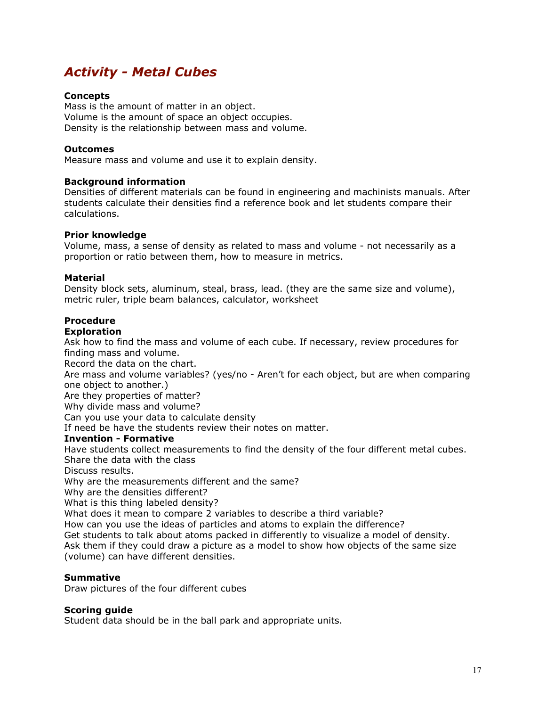# *Activity - Metal Cubes*

### **Concepts**

Mass is the amount of matter in an object. Volume is the amount of space an object occupies. Density is the relationship between mass and volume.

### **Outcomes**

Measure mass and volume and use it to explain density.

### **Background information**

Densities of different materials can be found in engineering and machinists manuals. After students calculate their densities find a reference book and let students compare their calculations.

### **Prior knowledge**

Volume, mass, a sense of density as related to mass and volume - not necessarily as a proportion or ratio between them, how to measure in metrics.

### **Material**

Density block sets, aluminum, steal, brass, lead. (they are the same size and volume), metric ruler, triple beam balances, calculator, worksheet

### **Procedure**

### **Exploration**

Ask how to find the mass and volume of each cube. If necessary, review procedures for finding mass and volume.

Record the data on the chart.

Are mass and volume variables? (yes/no - Aren't for each object, but are when comparing one object to another.)

Are they properties of matter?

Why divide mass and volume?

Can you use your data to calculate density

If need be have the students review their notes on matter.

### **Invention - Formative**

Have students collect measurements to find the density of the four different metal cubes. Share the data with the class

Discuss results.

Why are the measurements different and the same?

Why are the densities different?

What is this thing labeled density?

What does it mean to compare 2 variables to describe a third variable?

How can you use the ideas of particles and atoms to explain the difference?

Get students to talk about atoms packed in differently to visualize a model of density. Ask them if they could draw a picture as a model to show how objects of the same size (volume) can have different densities.

#### **Summative**

Draw pictures of the four different cubes

### **Scoring guide**

Student data should be in the ball park and appropriate units.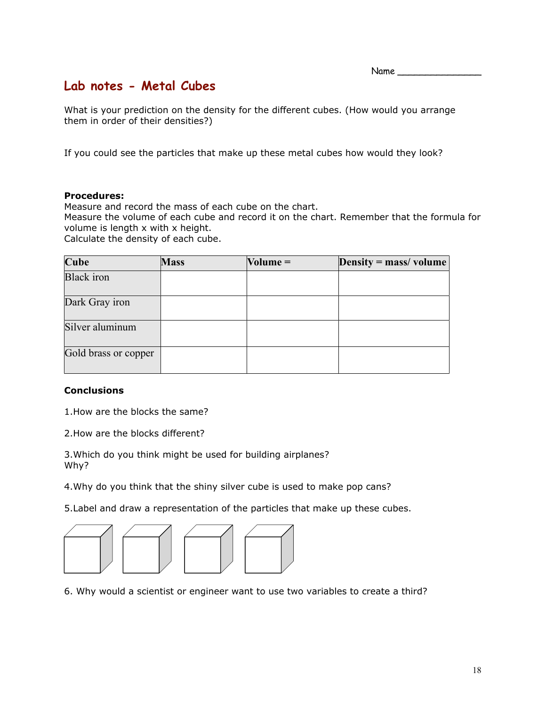$Name \_$ 

# **Lab notes - Metal Cubes**

What is your prediction on the density for the different cubes. (How would you arrange them in order of their densities?)

If you could see the particles that make up these metal cubes how would they look?

### **Procedures:**

Measure and record the mass of each cube on the chart.

Measure the volume of each cube and record it on the chart. Remember that the formula for volume is length x with x height.

Calculate the density of each cube.

| <b>Cube</b>          | <b>Mass</b> | $Volume =$ | Density = $mass/volume$ |
|----------------------|-------------|------------|-------------------------|
| <b>Black</b> iron    |             |            |                         |
| Dark Gray iron       |             |            |                         |
| Silver aluminum      |             |            |                         |
| Gold brass or copper |             |            |                         |

### **Conclusions**

1.How are the blocks the same?

2.How are the blocks different?

3.Which do you think might be used for building airplanes? Why?

4.Why do you think that the shiny silver cube is used to make pop cans?

5.Label and draw a representation of the particles that make up these cubes.



6. Why would a scientist or engineer want to use two variables to create a third?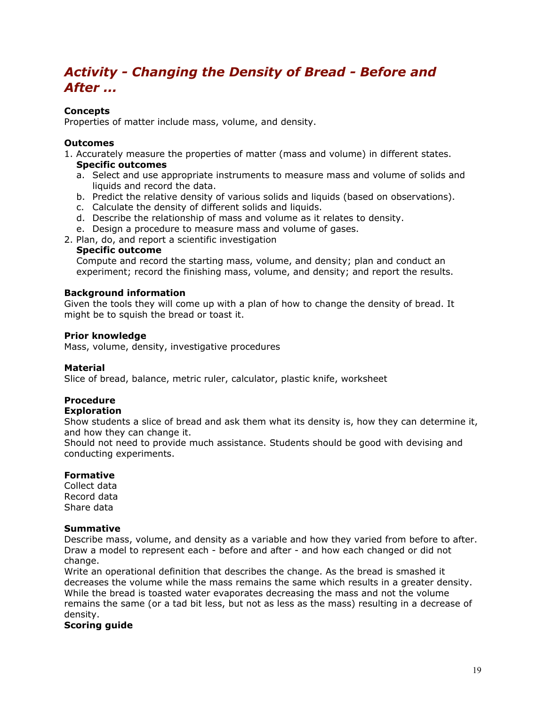# *Activity - Changing the Density of Bread - Before and After ...*

### **Concepts**

Properties of matter include mass, volume, and density.

### **Outcomes**

- 1. Accurately measure the properties of matter (mass and volume) in different states. **Specific outcomes**
	- a. Select and use appropriate instruments to measure mass and volume of solids and liquids and record the data.
	- b. Predict the relative density of various solids and liquids (based on observations).
	- c. Calculate the density of different solids and liquids.
	- d. Describe the relationship of mass and volume as it relates to density.
	- e. Design a procedure to measure mass and volume of gases.
- 2. Plan, do, and report a scientific investigation

### **Specific outcome**

Compute and record the starting mass, volume, and density; plan and conduct an experiment; record the finishing mass, volume, and density; and report the results.

### **Background information**

Given the tools they will come up with a plan of how to change the density of bread. It might be to squish the bread or toast it.

### **Prior knowledge**

Mass, volume, density, investigative procedures

### **Material**

Slice of bread, balance, metric ruler, calculator, plastic knife, worksheet

## **Procedure**

### **Exploration**

Show students a slice of bread and ask them what its density is, how they can determine it, and how they can change it.

Should not need to provide much assistance. Students should be good with devising and conducting experiments.

### **Formative**

Collect data Record data Share data

### **Summative**

Describe mass, volume, and density as a variable and how they varied from before to after. Draw a model to represent each - before and after - and how each changed or did not change.

Write an operational definition that describes the change. As the bread is smashed it decreases the volume while the mass remains the same which results in a greater density. While the bread is toasted water evaporates decreasing the mass and not the volume remains the same (or a tad bit less, but not as less as the mass) resulting in a decrease of density.

### **Scoring guide**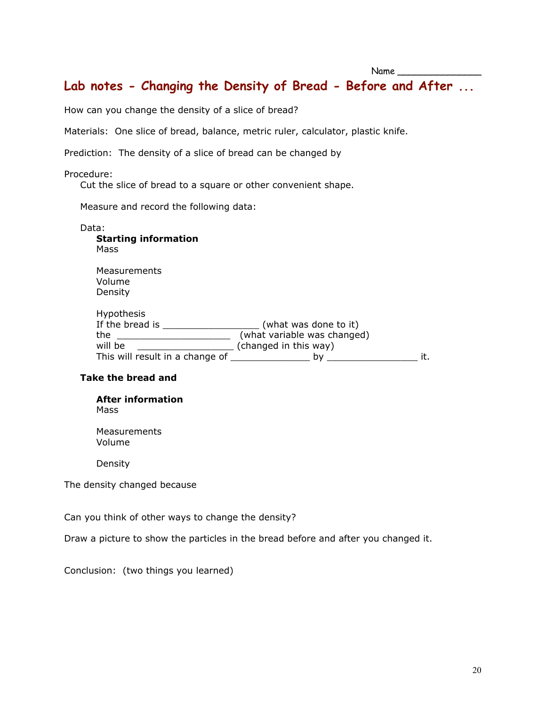# **Lab notes - Changing the Density of Bread - Before and After ...**

How can you change the density of a slice of bread?

Materials: One slice of bread, balance, metric ruler, calculator, plastic knife.

Prediction: The density of a slice of bread can be changed by

### Procedure:

Cut the slice of bread to a square or other convenient shape.

Measure and record the following data:

| Data:<br><b>Starting information</b><br>Mass |                             |     |
|----------------------------------------------|-----------------------------|-----|
| Measurements<br>Volume<br>Density            |                             |     |
| <b>Hypothesis</b>                            |                             |     |
| If the bread is                              | (what was done to it)       |     |
| the                                          | (what variable was changed) |     |
| will be                                      | (changed in this way)       |     |
| This will result in a change of              | bγ                          | it. |

### **Take the bread and**

**After information** Mass

**Measurements** Volume

Density

The density changed because

Can you think of other ways to change the density?

Draw a picture to show the particles in the bread before and after you changed it.

Conclusion: (two things you learned)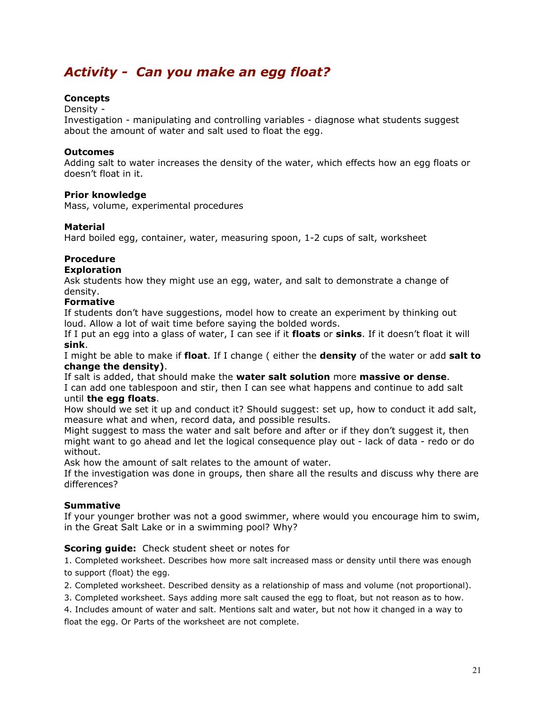# *Activity - Can you make an egg float?*

### **Concepts**

### Density -

Investigation - manipulating and controlling variables - diagnose what students suggest about the amount of water and salt used to float the egg.

### **Outcomes**

Adding salt to water increases the density of the water, which effects how an egg floats or doesn't float in it.

### **Prior knowledge**

Mass, volume, experimental procedures

### **Material**

Hard boiled egg, container, water, measuring spoon, 1-2 cups of salt, worksheet

### **Procedure**

### **Exploration**

Ask students how they might use an egg, water, and salt to demonstrate a change of density.

### **Formative**

If students don't have suggestions, model how to create an experiment by thinking out loud. Allow a lot of wait time before saying the bolded words.

If I put an egg into a glass of water, I can see if it **floats** or **sinks**. If it doesn't float it will **sink**.

I might be able to make if **float**. If I change ( either the **density** of the water or add **salt to change the density)**.

If salt is added, that should make the **water salt solution** more **massive or dense**. I can add one tablespoon and stir, then I can see what happens and continue to add salt until **the egg floats**.

How should we set it up and conduct it? Should suggest: set up, how to conduct it add salt, measure what and when, record data, and possible results.

Might suggest to mass the water and salt before and after or if they don't suggest it, then might want to go ahead and let the logical consequence play out - lack of data - redo or do without.

Ask how the amount of salt relates to the amount of water.

If the investigation was done in groups, then share all the results and discuss why there are differences?

### **Summative**

If your younger brother was not a good swimmer, where would you encourage him to swim, in the Great Salt Lake or in a swimming pool? Why?

### **Scoring guide:** Check student sheet or notes for

1. Completed worksheet. Describes how more salt increased mass or density until there was enough to support (float) the egg.

2. Completed worksheet. Described density as a relationship of mass and volume (not proportional).

3. Completed worksheet. Says adding more salt caused the egg to float, but not reason as to how.

4. Includes amount of water and salt. Mentions salt and water, but not how it changed in a way to float the egg. Or Parts of the worksheet are not complete.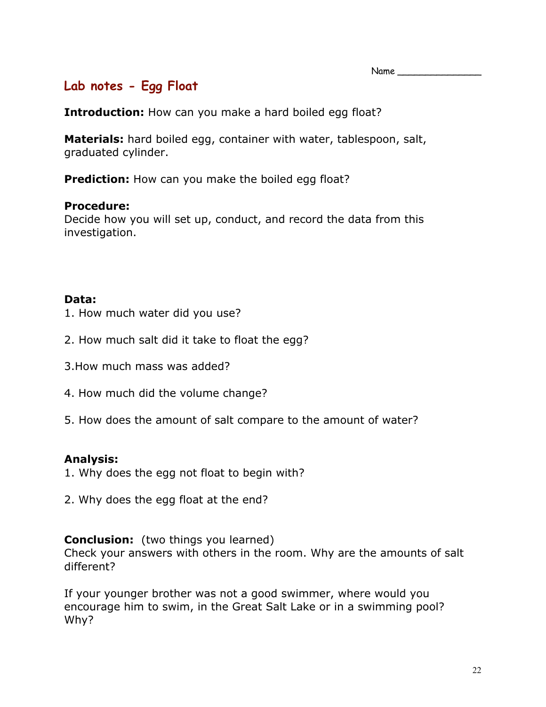# **Lab notes - Egg Float**

**Introduction:** How can you make a hard boiled egg float?

**Materials:** hard boiled egg, container with water, tablespoon, salt, graduated cylinder.

**Prediction:** How can you make the boiled egg float?

## **Procedure:**

Decide how you will set up, conduct, and record the data from this investigation.

# **Data:**

- 1. How much water did you use?
- 2. How much salt did it take to float the egg?
- 3.How much mass was added?
- 4. How much did the volume change?
- 5. How does the amount of salt compare to the amount of water?

## **Analysis:**

- 1. Why does the egg not float to begin with?
- 2. Why does the egg float at the end?

## **Conclusion:** (two things you learned)

Check your answers with others in the room. Why are the amounts of salt different?

If your younger brother was not a good swimmer, where would you encourage him to swim, in the Great Salt Lake or in a swimming pool? Why?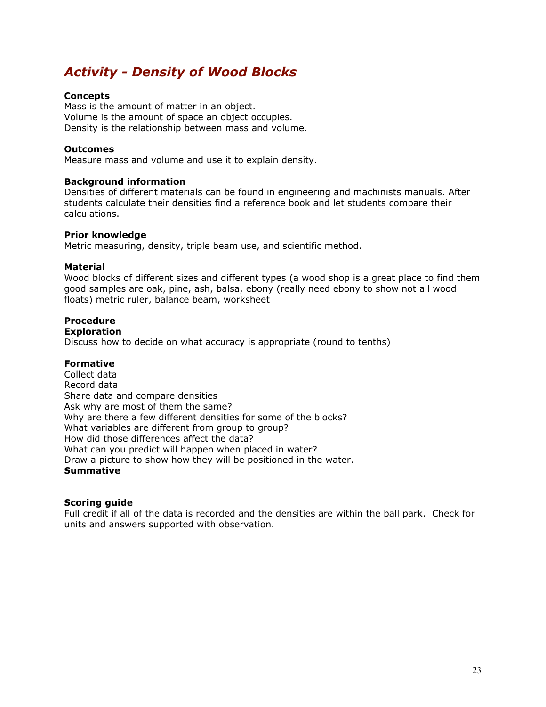# *Activity - Density of Wood Blocks*

### **Concepts**

Mass is the amount of matter in an object. Volume is the amount of space an object occupies. Density is the relationship between mass and volume.

### **Outcomes**

Measure mass and volume and use it to explain density.

### **Background information**

Densities of different materials can be found in engineering and machinists manuals. After students calculate their densities find a reference book and let students compare their calculations.

### **Prior knowledge**

Metric measuring, density, triple beam use, and scientific method.

### **Material**

Wood blocks of different sizes and different types (a wood shop is a great place to find them good samples are oak, pine, ash, balsa, ebony (really need ebony to show not all wood floats) metric ruler, balance beam, worksheet

### **Procedure**

#### **Exploration**

Discuss how to decide on what accuracy is appropriate (round to tenths)

### **Formative**

Collect data Record data Share data and compare densities Ask why are most of them the same? Why are there a few different densities for some of the blocks? What variables are different from group to group? How did those differences affect the data? What can you predict will happen when placed in water? Draw a picture to show how they will be positioned in the water. **Summative**

### **Scoring guide**

Full credit if all of the data is recorded and the densities are within the ball park. Check for units and answers supported with observation.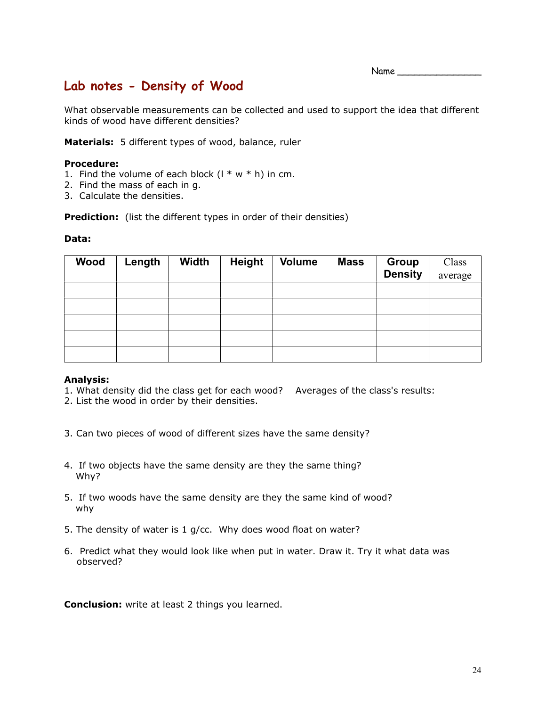Name

# **Lab notes - Density of Wood**

What observable measurements can be collected and used to support the idea that different kinds of wood have different densities?

**Materials:** 5 different types of wood, balance, ruler

### **Procedure:**

- 1. Find the volume of each block  $(1 * w * h)$  in cm.
- 2. Find the mass of each in g.
- 3. Calculate the densities.

**Prediction:** (list the different types in order of their densities)

### **Data:**

| Wood | Length | <b>Width</b> | <b>Height</b> | <b>Volume</b> | <b>Mass</b> | <b>Group</b><br><b>Density</b> | Class<br>average |
|------|--------|--------------|---------------|---------------|-------------|--------------------------------|------------------|
|      |        |              |               |               |             |                                |                  |
|      |        |              |               |               |             |                                |                  |
|      |        |              |               |               |             |                                |                  |
|      |        |              |               |               |             |                                |                  |
|      |        |              |               |               |             |                                |                  |

### **Analysis:**

- 1. What density did the class get for each wood? Averages of the class's results:
- 2. List the wood in order by their densities.
- 3. Can two pieces of wood of different sizes have the same density?
- 4. If two objects have the same density are they the same thing? Why?
- 5. If two woods have the same density are they the same kind of wood? why
- 5. The density of water is 1 g/cc. Why does wood float on water?
- 6. Predict what they would look like when put in water. Draw it. Try it what data was observed?

**Conclusion:** write at least 2 things you learned.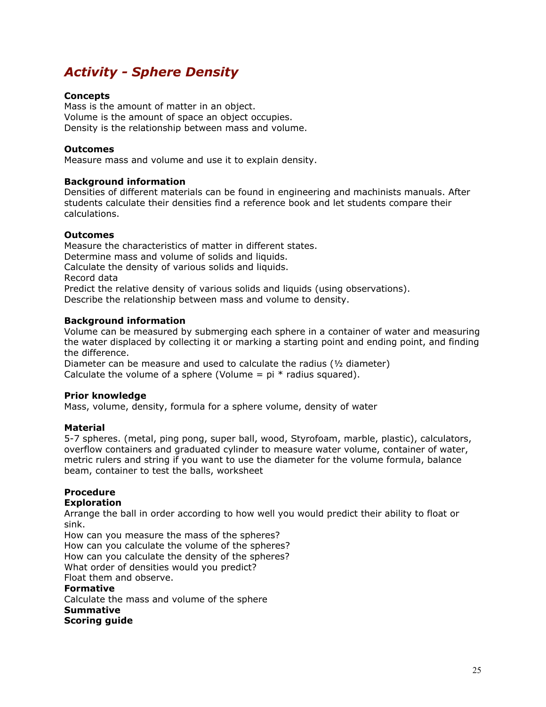# *Activity - Sphere Density*

### **Concepts**

Mass is the amount of matter in an object. Volume is the amount of space an object occupies. Density is the relationship between mass and volume.

### **Outcomes**

Measure mass and volume and use it to explain density.

### **Background information**

Densities of different materials can be found in engineering and machinists manuals. After students calculate their densities find a reference book and let students compare their calculations.

### **Outcomes**

Measure the characteristics of matter in different states. Determine mass and volume of solids and liquids. Calculate the density of various solids and liquids. Record data Predict the relative density of various solids and liquids (using observations). Describe the relationship between mass and volume to density.

### **Background information**

Volume can be measured by submerging each sphere in a container of water and measuring the water displaced by collecting it or marking a starting point and ending point, and finding the difference.

Diameter can be measure and used to calculate the radius (½ diameter) Calculate the volume of a sphere (Volume =  $pi *$  radius squared).

#### **Prior knowledge**

Mass, volume, density, formula for a sphere volume, density of water

### **Material**

5-7 spheres. (metal, ping pong, super ball, wood, Styrofoam, marble, plastic), calculators, overflow containers and graduated cylinder to measure water volume, container of water, metric rulers and string if you want to use the diameter for the volume formula, balance beam, container to test the balls, worksheet

### **Procedure**

#### **Exploration**

Arrange the ball in order according to how well you would predict their ability to float or sink.

How can you measure the mass of the spheres? How can you calculate the volume of the spheres? How can you calculate the density of the spheres? What order of densities would you predict? Float them and observe.

## **Formative**

Calculate the mass and volume of the sphere **Summative Scoring guide**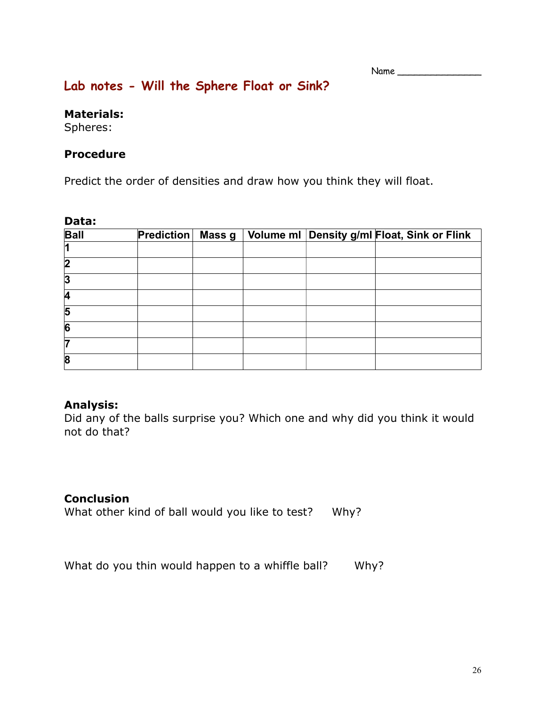# **Lab notes - Will the Sphere Float or Sink?**

## **Materials:**

Spheres:

# **Procedure**

Predict the order of densities and draw how you think they will float.

| Data:            |            |        |  |                                             |
|------------------|------------|--------|--|---------------------------------------------|
| <b>Ball</b>      | Prediction | Mass g |  | Volume ml Density g/ml Float, Sink or Flink |
|                  |            |        |  |                                             |
| $\boldsymbol{2}$ |            |        |  |                                             |
| 3                |            |        |  |                                             |
| 4                |            |        |  |                                             |
| 5                |            |        |  |                                             |
| 6                |            |        |  |                                             |
| 7                |            |        |  |                                             |
| 8                |            |        |  |                                             |

# **Analysis:**

Did any of the balls surprise you? Which one and why did you think it would not do that?

# **Conclusion**

What other kind of ball would you like to test? Why?

What do you thin would happen to a whiffle ball? Why?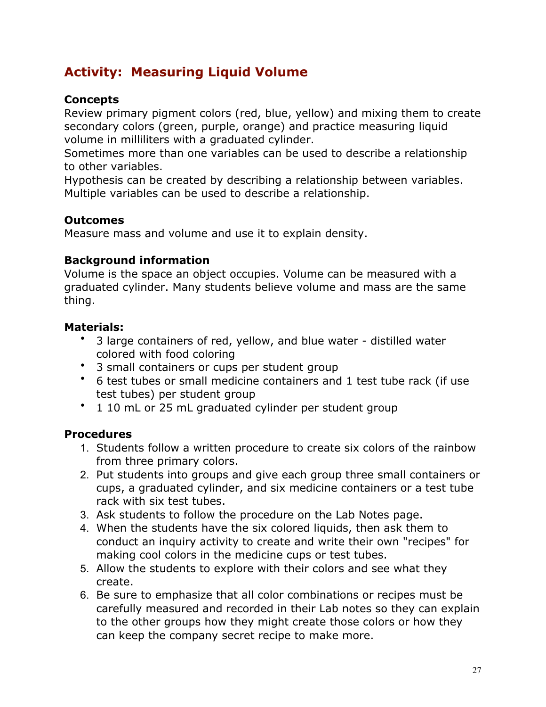# **Activity: Measuring Liquid Volume**

# **Concepts**

Review primary pigment colors (red, blue, yellow) and mixing them to create secondary colors (green, purple, orange) and practice measuring liquid volume in milliliters with a graduated cylinder.

Sometimes more than one variables can be used to describe a relationship to other variables.

Hypothesis can be created by describing a relationship between variables. Multiple variables can be used to describe a relationship.

# **Outcomes**

Measure mass and volume and use it to explain density.

# **Background information**

Volume is the space an object occupies. Volume can be measured with a graduated cylinder. Many students believe volume and mass are the same thing.

# **Materials:**

- 3 large containers of red, yellow, and blue water distilled water colored with food coloring
- 3 small containers or cups per student group
- 6 test tubes or small medicine containers and 1 test tube rack (if use test tubes) per student group
- 1 10 mL or 25 mL graduated cylinder per student group

# **Procedures**

- 1. Students follow a written procedure to create six colors of the rainbow from three primary colors.
- 2. Put students into groups and give each group three small containers or cups, a graduated cylinder, and six medicine containers or a test tube rack with six test tubes.
- 3. Ask students to follow the procedure on the Lab Notes page.
- 4. When the students have the six colored liquids, then ask them to conduct an inquiry activity to create and write their own "recipes" for making cool colors in the medicine cups or test tubes.
- 5. Allow the students to explore with their colors and see what they create.
- 6. Be sure to emphasize that all color combinations or recipes must be carefully measured and recorded in their Lab notes so they can explain to the other groups how they might create those colors or how they can keep the company secret recipe to make more.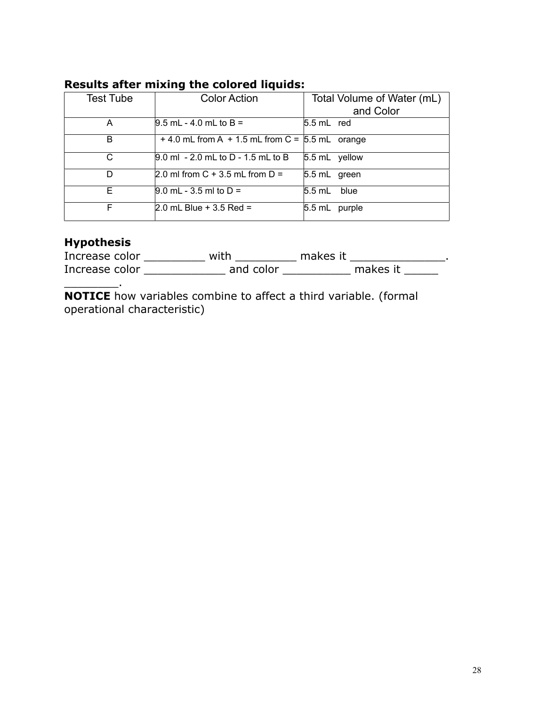| Test Tube | <b>Color Action</b>                                   | Total Volume of Water (mL) |
|-----------|-------------------------------------------------------|----------------------------|
|           |                                                       | and Color                  |
| A         | $9.5$ mL - 4.0 mL to B =                              | $5.5$ mL red               |
| в         | $+$ 4.0 mL from A $+$ 1.5 mL from C = $5.5$ mL orange |                            |
| С         | $[9.0 \text{ ml} - 2.0 \text{ mL}$ to D - 1.5 mL to B | 5.5 mL yellow              |
| D         | 2.0 ml from C + 3.5 mL from $D =$                     | 5.5 mL green               |
| F.        | $[9.0 \text{ mL} - 3.5 \text{ ml to D} =$             | $5.5$ mL blue              |
| F         | 2.0 mL Blue + 3.5 Red =                               | $5.5$ mL<br>purple         |

# **Results after mixing the colored liquids:**

# **Hypothesis**

\_\_\_\_\_\_\_\_.

| Increase color | with      | makes it |          |
|----------------|-----------|----------|----------|
| Increase color | and color |          | makes it |

**NOTICE** how variables combine to affect a third variable. (formal operational characteristic)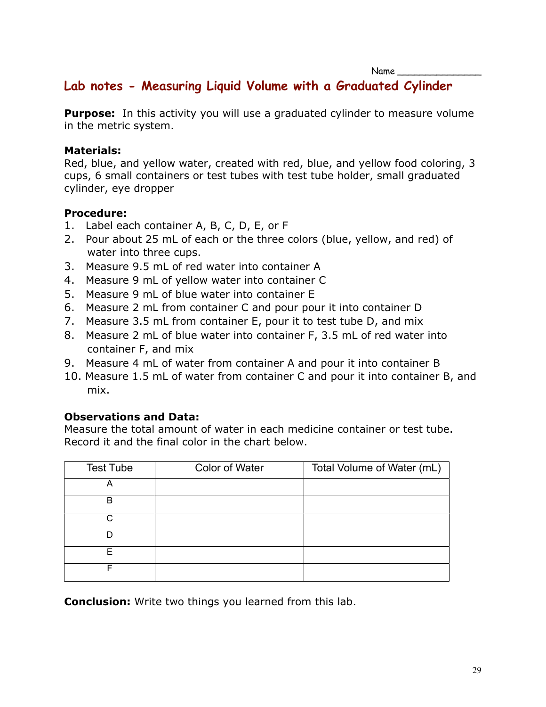# **Lab notes - Measuring Liquid Volume with a Graduated Cylinder**

**Purpose:** In this activity you will use a graduated cylinder to measure volume in the metric system.

## **Materials:**

Red, blue, and yellow water, created with red, blue, and yellow food coloring, 3 cups, 6 small containers or test tubes with test tube holder, small graduated cylinder, eye dropper

# **Procedure:**

- 1. Label each container A, B, C, D, E, or F
- 2. Pour about 25 mL of each or the three colors (blue, yellow, and red) of water into three cups.
- 3. Measure 9.5 mL of red water into container A
- 4. Measure 9 mL of yellow water into container C
- 5. Measure 9 mL of blue water into container E
- 6. Measure 2 mL from container C and pour pour it into container D
- 7. Measure 3.5 mL from container E, pour it to test tube D, and mix
- 8. Measure 2 mL of blue water into container F, 3.5 mL of red water into container F, and mix
- 9. Measure 4 mL of water from container A and pour it into container B
- 10. Measure 1.5 mL of water from container C and pour it into container B, and mix.

# **Observations and Data:**

Measure the total amount of water in each medicine container or test tube. Record it and the final color in the chart below.

| <b>Test Tube</b> | <b>Color of Water</b> | Total Volume of Water (mL) |
|------------------|-----------------------|----------------------------|
| А                |                       |                            |
| B                |                       |                            |
| C                |                       |                            |
|                  |                       |                            |
| F                |                       |                            |
|                  |                       |                            |

**Conclusion:** Write two things you learned from this lab.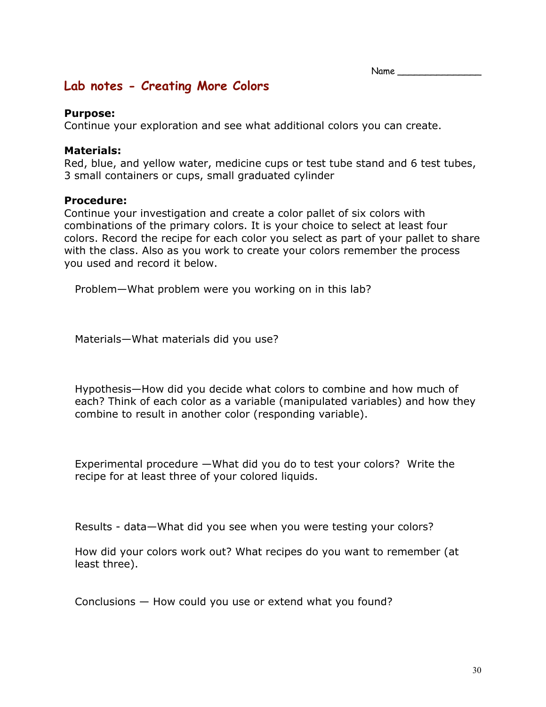Name

# **Lab notes - Creating More Colors**

### **Purpose:**

Continue your exploration and see what additional colors you can create.

### **Materials:**

Red, blue, and yellow water, medicine cups or test tube stand and 6 test tubes, 3 small containers or cups, small graduated cylinder

### **Procedure:**

Continue your investigation and create a color pallet of six colors with combinations of the primary colors. It is your choice to select at least four colors. Record the recipe for each color you select as part of your pallet to share with the class. Also as you work to create your colors remember the process you used and record it below.

Problem—What problem were you working on in this lab?

Materials—What materials did you use?

Hypothesis—How did you decide what colors to combine and how much of each? Think of each color as a variable (manipulated variables) and how they combine to result in another color (responding variable).

Experimental procedure —What did you do to test your colors? Write the recipe for at least three of your colored liquids.

Results - data—What did you see when you were testing your colors?

How did your colors work out? What recipes do you want to remember (at least three).

Conclusions — How could you use or extend what you found?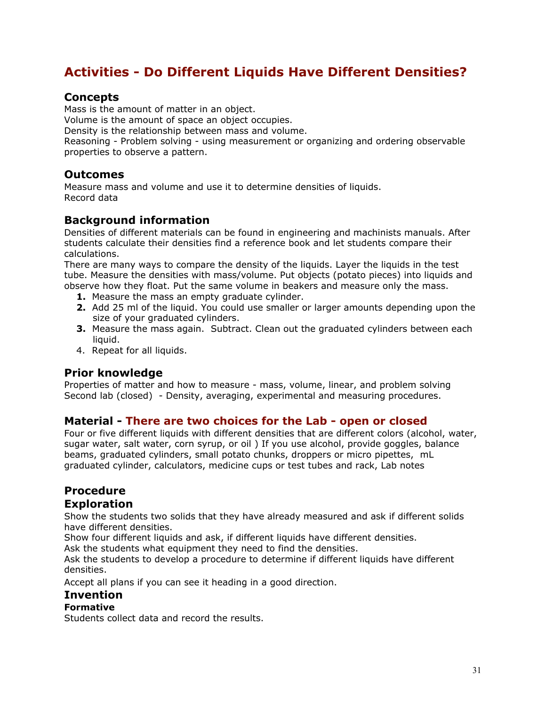# **Activities - Do Different Liquids Have Different Densities?**

# **Concepts**

Mass is the amount of matter in an object.

Volume is the amount of space an object occupies.

Density is the relationship between mass and volume.

Reasoning - Problem solving - using measurement or organizing and ordering observable properties to observe a pattern.

## **Outcomes**

Measure mass and volume and use it to determine densities of liquids. Record data

## **Background information**

Densities of different materials can be found in engineering and machinists manuals. After students calculate their densities find a reference book and let students compare their calculations.

There are many ways to compare the density of the liquids. Layer the liquids in the test tube. Measure the densities with mass/volume. Put objects (potato pieces) into liquids and observe how they float. Put the same volume in beakers and measure only the mass.

- **1.** Measure the mass an empty graduate cylinder.
- **2.** Add 25 ml of the liquid. You could use smaller or larger amounts depending upon the size of your graduated cylinders.
- **3.** Measure the mass again. Subtract. Clean out the graduated cylinders between each liquid.
- 4. Repeat for all liquids.

## **Prior knowledge**

Properties of matter and how to measure - mass, volume, linear, and problem solving Second lab (closed) - Density, averaging, experimental and measuring procedures.

## **Material - There are two choices for the Lab - open or closed**

Four or five different liquids with different densities that are different colors (alcohol, water, sugar water, salt water, corn syrup, or oil ) If you use alcohol, provide goggles, balance beams, graduated cylinders, small potato chunks, droppers or micro pipettes, mL graduated cylinder, calculators, medicine cups or test tubes and rack, Lab notes

# **Procedure**

## **Exploration**

Show the students two solids that they have already measured and ask if different solids have different densities.

Show four different liquids and ask, if different liquids have different densities.

Ask the students what equipment they need to find the densities.

Ask the students to develop a procedure to determine if different liquids have different densities.

Accept all plans if you can see it heading in a good direction.

## **Invention**

### **Formative**

Students collect data and record the results.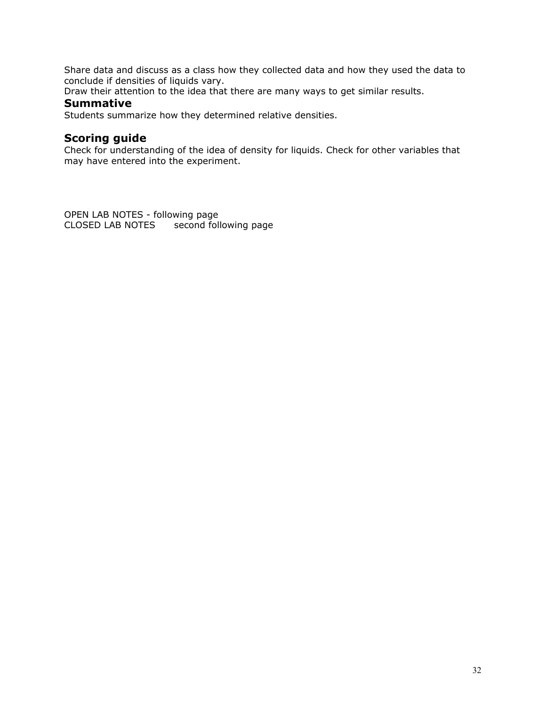Share data and discuss as a class how they collected data and how they used the data to conclude if densities of liquids vary.

Draw their attention to the idea that there are many ways to get similar results.

### **Summative**

Students summarize how they determined relative densities.

### **Scoring guide**

Check for understanding of the idea of density for liquids. Check for other variables that may have entered into the experiment.

OPEN LAB NOTES - following page CLOSED LAB NOTES second following page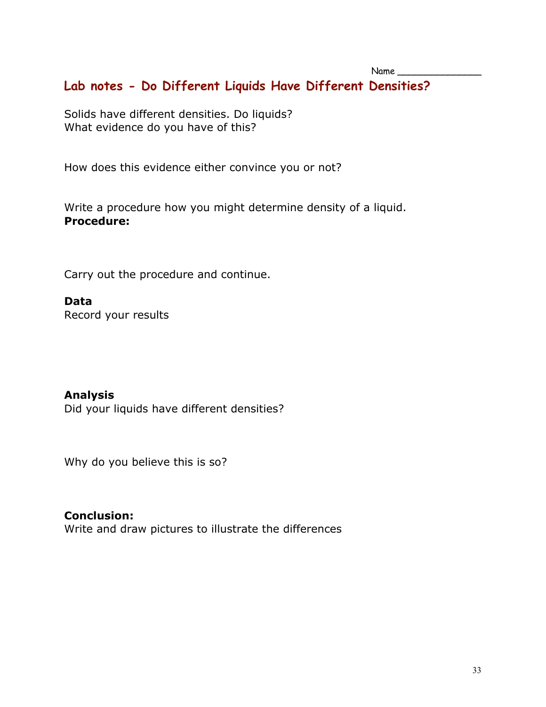# **Lab notes - Do Different Liquids Have Different Densities?**

Solids have different densities. Do liquids? What evidence do you have of this?

How does this evidence either convince you or not?

Write a procedure how you might determine density of a liquid. **Procedure:**

Carry out the procedure and continue.

## **Data**

Record your results

# **Analysis**

Did your liquids have different densities?

Why do you believe this is so?

# **Conclusion:**

Write and draw pictures to illustrate the differences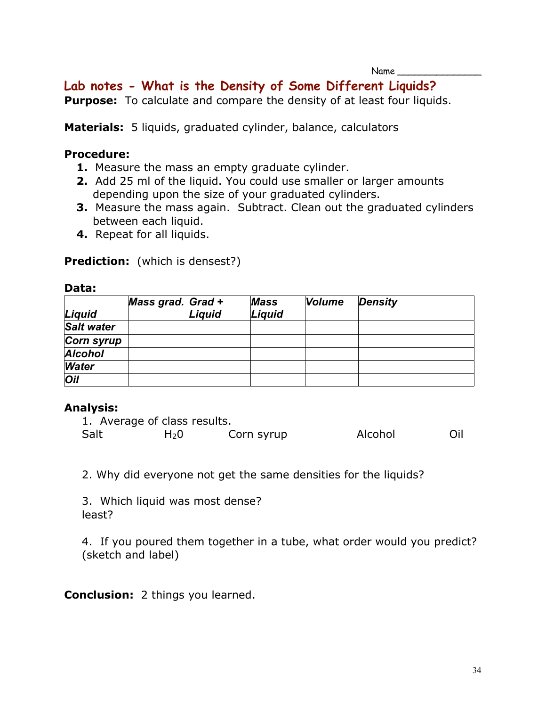# **Lab notes - What is the Density of Some Different Liquids?**

**Purpose:** To calculate and compare the density of at least four liquids.

**Materials:** 5 liquids, graduated cylinder, balance, calculators

### **Procedure:**

- **1.** Measure the mass an empty graduate cylinder.
- **2.** Add 25 ml of the liquid. You could use smaller or larger amounts depending upon the size of your graduated cylinders.
- **3.** Measure the mass again. Subtract. Clean out the graduated cylinders between each liquid.
- **4.** Repeat for all liquids.

### **Prediction:** (which is densest?)

### **Data:**

|                   | Mass grad. Grad + |        | <b>Mass</b> | <b>Volume</b> | <b>Density</b> |
|-------------------|-------------------|--------|-------------|---------------|----------------|
| Liquid            |                   | Liquid | Liquid      |               |                |
| <b>Salt water</b> |                   |        |             |               |                |
| Corn syrup        |                   |        |             |               |                |
| <b>Alcohol</b>    |                   |        |             |               |                |
| <b>Water</b>      |                   |        |             |               |                |
| <b>Oil</b>        |                   |        |             |               |                |

## **Analysis:**

|      | 1. Average of class results. |            |         |     |
|------|------------------------------|------------|---------|-----|
| Salt | H <sub>2</sub> 0             | Corn syrup | Alcohol | Oil |

2. Why did everyone not get the same densities for the liquids?

3. Which liquid was most dense? least?

4. If you poured them together in a tube, what order would you predict? (sketch and label)

**Conclusion:** 2 things you learned.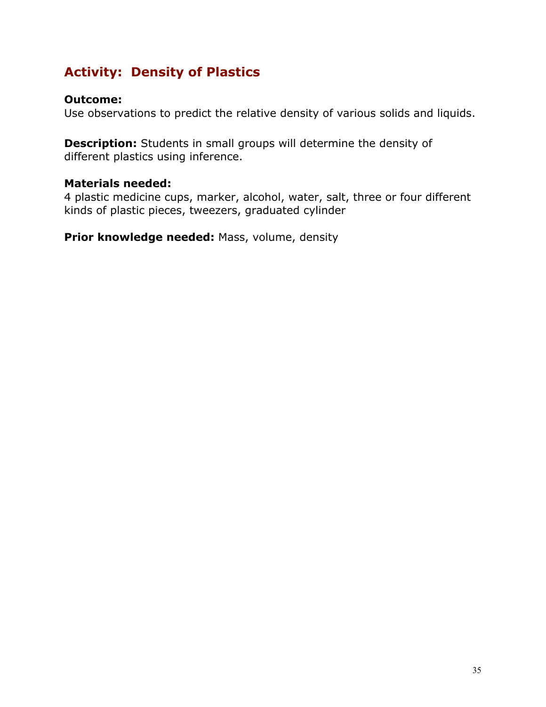# **Activity: Density of Plastics**

## **Outcome:**

Use observations to predict the relative density of various solids and liquids.

**Description:** Students in small groups will determine the density of different plastics using inference.

# **Materials needed:**

4 plastic medicine cups, marker, alcohol, water, salt, three or four different kinds of plastic pieces, tweezers, graduated cylinder

**Prior knowledge needed:** Mass, volume, density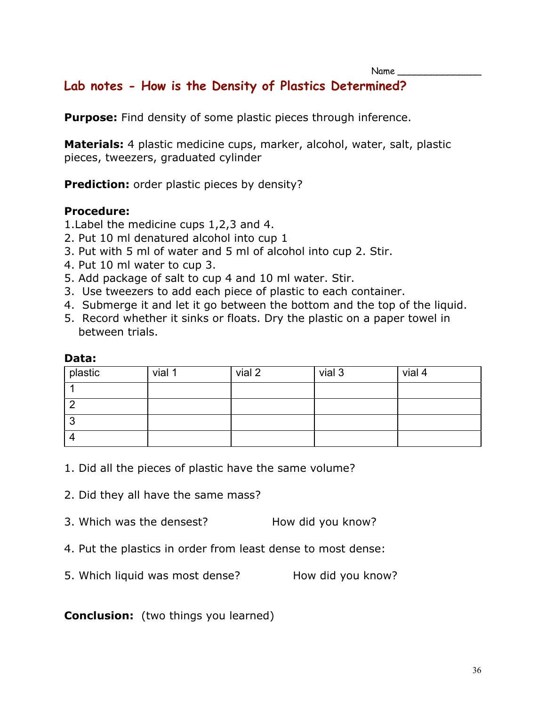# **Lab notes - How is the Density of Plastics Determined?**

**Purpose:** Find density of some plastic pieces through inference.

**Materials:** 4 plastic medicine cups, marker, alcohol, water, salt, plastic pieces, tweezers, graduated cylinder

**Prediction:** order plastic pieces by density?

## **Procedure:**

- 1.Label the medicine cups 1,2,3 and 4.
- 2. Put 10 ml denatured alcohol into cup 1
- 3. Put with 5 ml of water and 5 ml of alcohol into cup 2. Stir.
- 4. Put 10 ml water to cup 3.
- 5. Add package of salt to cup 4 and 10 ml water. Stir.
- 3. Use tweezers to add each piece of plastic to each container.
- 4. Submerge it and let it go between the bottom and the top of the liquid.
- 5. Record whether it sinks or floats. Dry the plastic on a paper towel in between trials.

| plastic | vial 1 | vial 2 | vial 3 | vial 4 |
|---------|--------|--------|--------|--------|
|         |        |        |        |        |
|         |        |        |        |        |
| n<br>u  |        |        |        |        |
|         |        |        |        |        |

### **Data:**

1. Did all the pieces of plastic have the same volume?

2. Did they all have the same mass?

- 3. Which was the densest? How did you know?
- 4. Put the plastics in order from least dense to most dense:
- 5. Which liquid was most dense? How did you know?

# **Conclusion:** (two things you learned)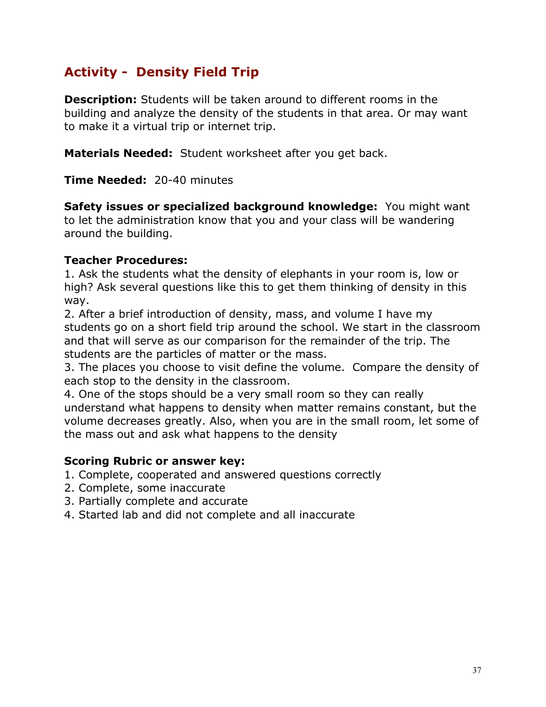# **Activity - Density Field Trip**

**Description:** Students will be taken around to different rooms in the building and analyze the density of the students in that area. Or may want to make it a virtual trip or internet trip.

**Materials Needed:** Student worksheet after you get back.

**Time Needed:** 20-40 minutes

**Safety issues or specialized background knowledge:** You might want to let the administration know that you and your class will be wandering around the building.

# **Teacher Procedures:**

1. Ask the students what the density of elephants in your room is, low or high? Ask several questions like this to get them thinking of density in this way.

2. After a brief introduction of density, mass, and volume I have my students go on a short field trip around the school. We start in the classroom and that will serve as our comparison for the remainder of the trip. The students are the particles of matter or the mass.

3. The places you choose to visit define the volume. Compare the density of each stop to the density in the classroom.

4. One of the stops should be a very small room so they can really understand what happens to density when matter remains constant, but the volume decreases greatly. Also, when you are in the small room, let some of the mass out and ask what happens to the density

## **Scoring Rubric or answer key:**

- 1. Complete, cooperated and answered questions correctly
- 2. Complete, some inaccurate
- 3. Partially complete and accurate
- 4. Started lab and did not complete and all inaccurate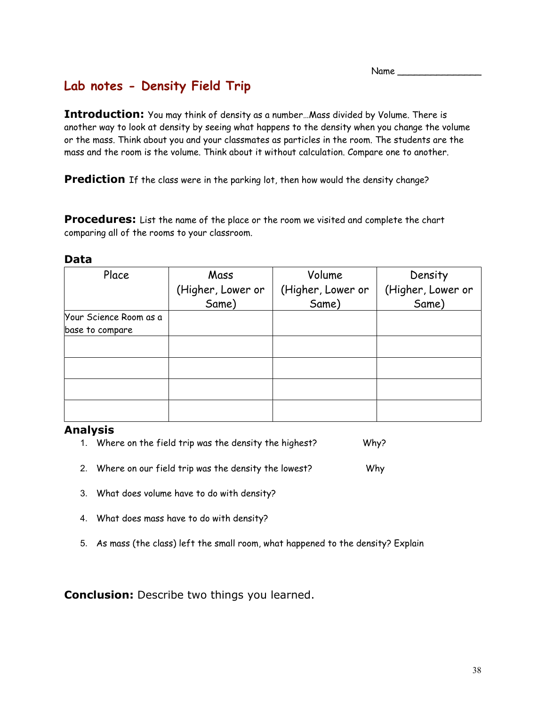# **Lab notes - Density Field Trip**

**Introduction:** You may think of density as a number…Mass divided by Volume. There is another way to look at density by seeing what happens to the density when you change the volume or the mass. Think about you and your classmates as particles in the room. The students are the mass and the room is the volume. Think about it without calculation. Compare one to another.

**Prediction** If the class were in the parking lot, then how would the density change?

**Procedures:** List the name of the place or the room we visited and complete the chart comparing all of the rooms to your classroom.

| ۰,<br>M.<br>×<br>۰.<br>× |
|--------------------------|
|--------------------------|

| Place                  | Mass              | Volume            | Density           |
|------------------------|-------------------|-------------------|-------------------|
|                        | (Higher, Lower or | (Higher, Lower or | (Higher, Lower or |
|                        | Same)             | Same)             | Same)             |
| Your Science Room as a |                   |                   |                   |
| base to compare        |                   |                   |                   |
|                        |                   |                   |                   |
|                        |                   |                   |                   |
|                        |                   |                   |                   |
|                        |                   |                   |                   |

### **Analysis**

- 1. Where on the field trip was the density the highest? Why?
- 2. Where on our field trip was the density the lowest? Why
- 3. What does volume have to do with density?
- 4. What does mass have to do with density?
- 5. As mass (the class) left the small room, what happened to the density? Explain

**Conclusion:** Describe two things you learned.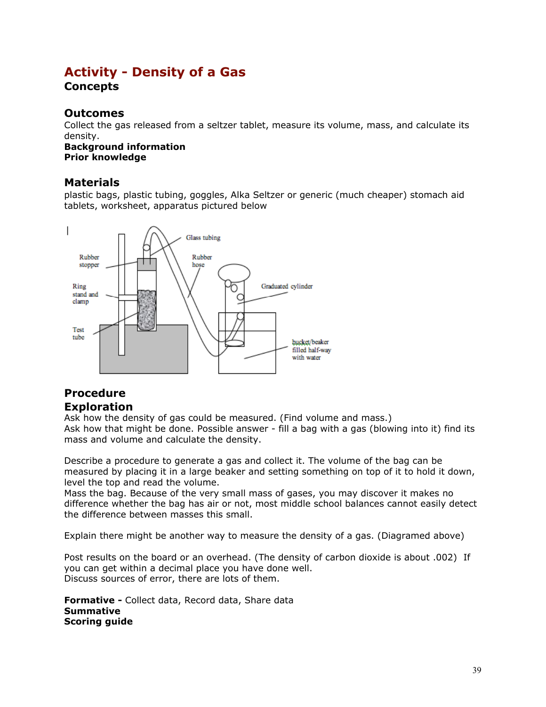# **Activity - Density of a Gas**

## **Concepts**

## **Outcomes**

Collect the gas released from a seltzer tablet, measure its volume, mass, and calculate its density.

**Background information Prior knowledge**

## **Materials**

plastic bags, plastic tubing, goggles, Alka Seltzer or generic (much cheaper) stomach aid tablets, worksheet, apparatus pictured below



## **Procedure Exploration**

Ask how the density of gas could be measured. (Find volume and mass.) Ask how that might be done. Possible answer - fill a bag with a gas (blowing into it) find its mass and volume and calculate the density.

Describe a procedure to generate a gas and collect it. The volume of the bag can be measured by placing it in a large beaker and setting something on top of it to hold it down, level the top and read the volume.

Mass the bag. Because of the very small mass of gases, you may discover it makes no difference whether the bag has air or not, most middle school balances cannot easily detect the difference between masses this small.

Explain there might be another way to measure the density of a gas. (Diagramed above)

Post results on the board or an overhead. (The density of carbon dioxide is about .002) If you can get within a decimal place you have done well. Discuss sources of error, there are lots of them.

**Formative -** Collect data, Record data, Share data **Summative Scoring guide**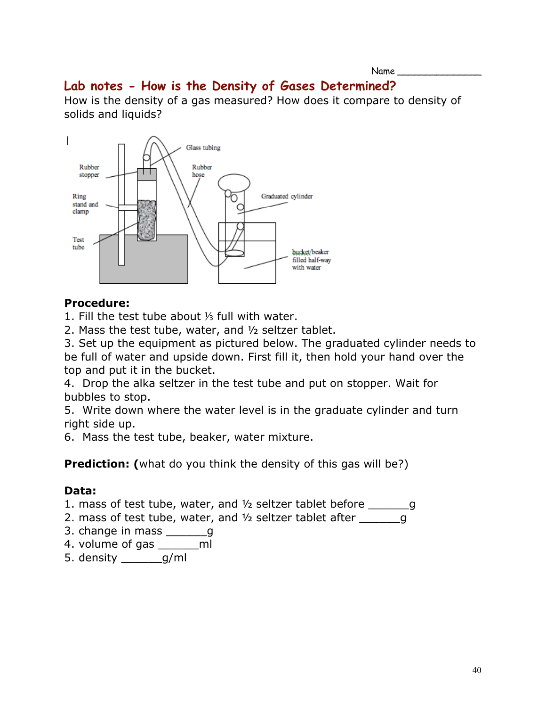# **Lab notes - How is the Density of Gases Determined?**

How is the density of a gas measured? How does it compare to density of solids and liquids?



# **Procedure:**

1. Fill the test tube about ⅓ full with water.

2. Mass the test tube, water, and ½ seltzer tablet.

3. Set up the equipment as pictured below. The graduated cylinder needs to be full of water and upside down. First fill it, then hold your hand over the top and put it in the bucket.

4. Drop the alka seltzer in the test tube and put on stopper. Wait for bubbles to stop.

5. Write down where the water level is in the graduate cylinder and turn right side up.

6. Mass the test tube, beaker, water mixture.

**Prediction:** (what do you think the density of this gas will be?)

# **Data:**

1. mass of test tube, water, and ½ seltzer tablet before \_\_\_\_\_\_g

- 2. mass of test tube, water, and  $\frac{1}{2}$  seltzer tablet after  $\frac{1}{\sqrt{2}}$
- 3. change in mass \_\_\_\_\_\_\_g
- 4. volume of gas \_\_\_\_\_\_ml
- 5. density \_\_\_\_\_\_g/ml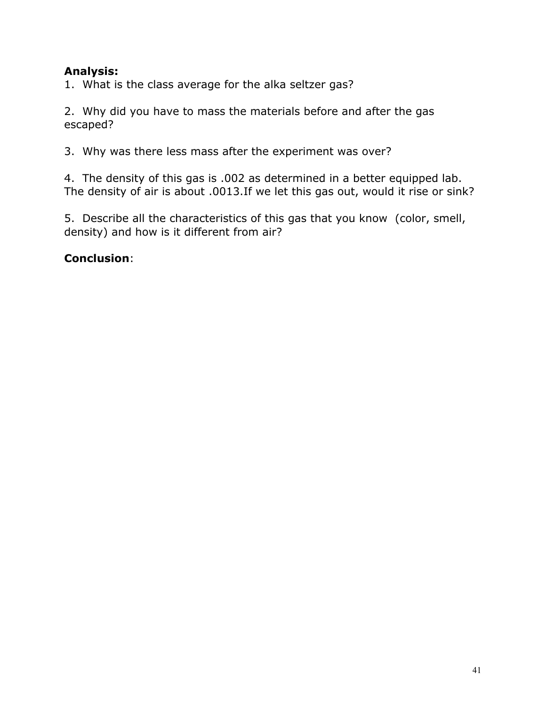# **Analysis:**

1. What is the class average for the alka seltzer gas?

2. Why did you have to mass the materials before and after the gas escaped?

3. Why was there less mass after the experiment was over?

4. The density of this gas is .002 as determined in a better equipped lab. The density of air is about .0013.If we let this gas out, would it rise or sink?

5. Describe all the characteristics of this gas that you know (color, smell, density) and how is it different from air?

# **Conclusion**: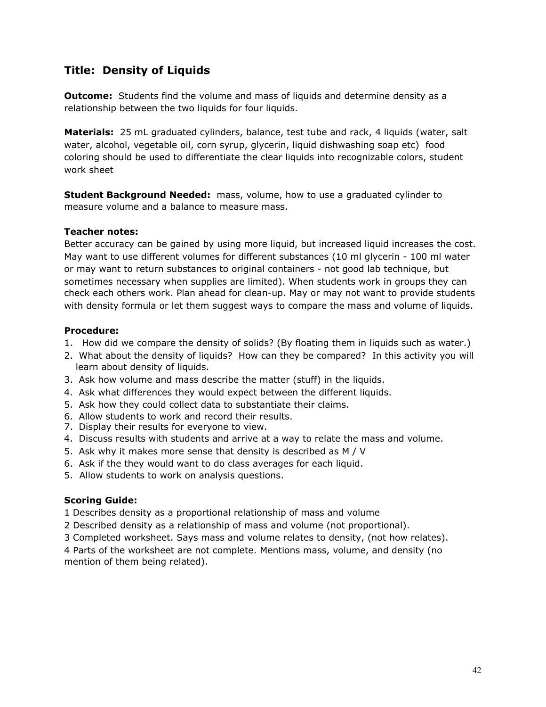# **Title: Density of Liquids**

**Outcome:** Students find the volume and mass of liquids and determine density as a relationship between the two liquids for four liquids.

**Materials:** 25 mL graduated cylinders, balance, test tube and rack, 4 liquids (water, salt water, alcohol, vegetable oil, corn syrup, glycerin, liquid dishwashing soap etc) food coloring should be used to differentiate the clear liquids into recognizable colors, student work sheet

**Student Background Needed:** mass, volume, how to use a graduated cylinder to measure volume and a balance to measure mass.

### **Teacher notes:**

Better accuracy can be gained by using more liquid, but increased liquid increases the cost. May want to use different volumes for different substances (10 ml glycerin - 100 ml water or may want to return substances to original containers - not good lab technique, but sometimes necessary when supplies are limited). When students work in groups they can check each others work. Plan ahead for clean-up. May or may not want to provide students with density formula or let them suggest ways to compare the mass and volume of liquids.

### **Procedure:**

- 1. How did we compare the density of solids? (By floating them in liquids such as water.)
- 2. What about the density of liquids? How can they be compared? In this activity you will learn about density of liquids.
- 3. Ask how volume and mass describe the matter (stuff) in the liquids.
- 4. Ask what differences they would expect between the different liquids.
- 5. Ask how they could collect data to substantiate their claims.
- 6. Allow students to work and record their results.
- 7. Display their results for everyone to view.
- 4. Discuss results with students and arrive at a way to relate the mass and volume.
- 5. Ask why it makes more sense that density is described as M / V
- 6. Ask if the they would want to do class averages for each liquid.
- 5. Allow students to work on analysis questions.

### **Scoring Guide:**

1 Describes density as a proportional relationship of mass and volume

- 2 Described density as a relationship of mass and volume (not proportional).
- 3 Completed worksheet. Says mass and volume relates to density, (not how relates).

4 Parts of the worksheet are not complete. Mentions mass, volume, and density (no mention of them being related).